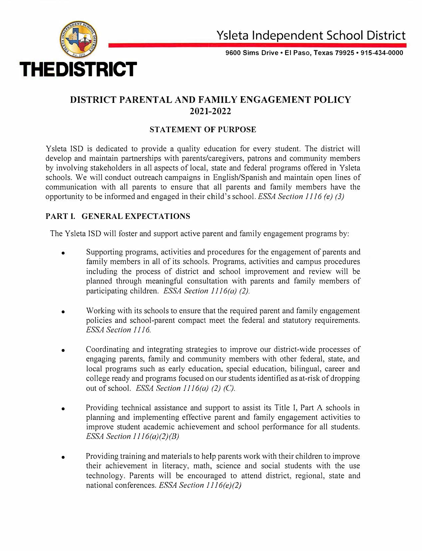

**9600 Sims Drive• Et Paso, Texas 79925 • 915-434-0000**

# **DISTRICT PARENTAL AND FAMILY ENGAGEMENT POLICY 2021-2022**

## **STATEMENT OF PURPOSE**

Y sleta ISO is dedicated to provide a quality education for every student. The district will develop and maintain partnerships with parents/caregivers, patrons and community members by involving stakeholders in all aspects of local, state and federal programs offered in Ysleta schools. We will conduct outreach campaigns in English/Spanish and maintain open lines of communication with all parents to ensure that all parents and family members have the opportunity to be informed and engaged in their child'sschool. *ESSA Section 1116 (e) (3)* 

### **PART I. GENERAL EXPECTATIONS**

The Ysleta ISD will foster and support active parent and family engagement programs by:

- Supporting programs, activities and procedures for the engagement of parents and family members in all of its schools. Programs, activities and campus procedures including the process of district and school improvement and review will be planned through meaningful consultation with parents and family members of participating children. *ESSA Section 1116(a)* (2).
- Working with its schools to ensure that the required parent and family engagement policies and school-parent compact meet the federal and statutory requirements. *ESSA Section l ll6.*
- Coordinating and integrating strategies to improve our district-wide processes of engaging parents, family and community members with other federal, state, and local programs such as early education, special education, bilingual, career and college ready and programs focused on our students identified as at-risk of dropping out of school. *ESSA Section l l l 6(a) (2) (C).*
- Providing technical assistance and support to assist its Title I, Part A schools in planning and implementing effective parent and family engagement activities to improve student academic achievement and school performance for all students. *ESSA Section 1116(a)(2)(B)*
- Providing training and materials to help parents work with their children to improve their achievement in literacy, math, science and social students with the use technology. Parents will be encouraged to attend district, regional, state and national conferences. *ESSA Section l J J 6(e)(2)*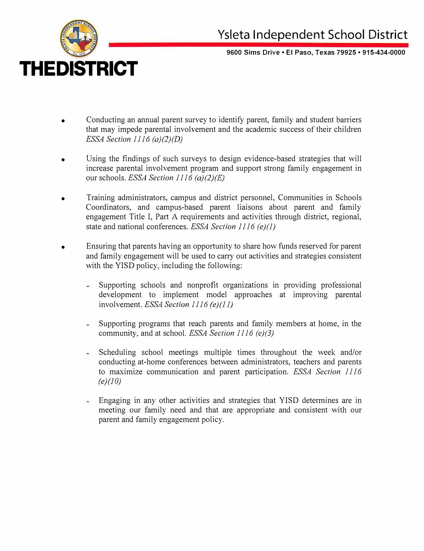

**9600 Sims Drive• El Paso, Texas 79925• 915-434-0000**

- Conducting an annual parent survey to identify parent, family and student barriers that may impede parental involvement and the academic success of their children *ESSA Section 1116 (a)(2)(D)*
- Using the findings of such surveys to design evidence-based strategies that will increase parental involvement program and support strong family engagement in our schools. *ESSA Section 1116 (a)(2)(E)*
- Training administrators, campus and district personnel, Communities in Schools Coordinators, and campus-based parent liaisons about parent and family engagement Title I, Part A requirements and activities through district, regional, state and national conferences. *ESSA Section 1116 (e)(J)*
- Ensuring that parents having an opportunity to share how funds reserved for parent and family engagement will be used to carry out activities and strategies consistent with the YISD policy, including the following:
	- ar i Supporting schools and nonprofit organizations in providing professional development to implement model approaches at improving parental involvement. *ESSA Section 1116 (e)(J J)*
	- Supporting programs that reach parents and family members at home, in the  $\sim$   $\sim$ community, and at school. *ESSA Section 1116 (e)(J)*
	- Scheduling school meetings multiple times throughout the week and/or conducting at-home conferences between administrators, teachers and parents to maximize communication and parent participation. *ESSA Section 1116 (e)(lO)*
	- Engaging in any other activities and strategies that YISD determines are in meeting our family need and that are appropriate and consistent with our parent and family engagement policy.